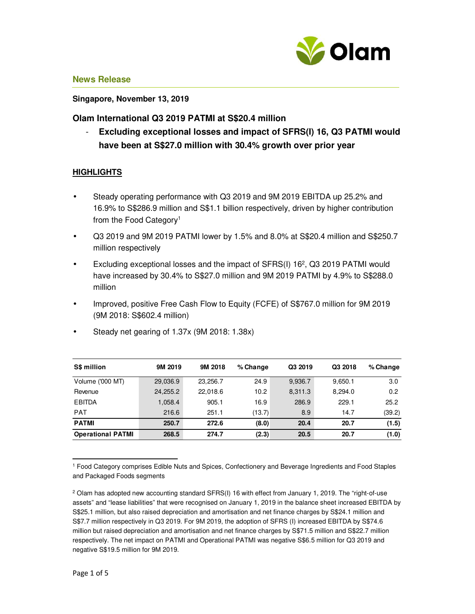

#### **Singapore, November 13, 2019**

## **Olam International Q3 2019 PATMI at S\$20.4 million**

- **Excluding exceptional losses and impact of SFRS(I) 16, Q3 PATMI would have been at S\$27.0 million with 30.4% growth over prior year** 

## **HIGHLIGHTS**

- Steady operating performance with Q3 2019 and 9M 2019 EBITDA up 25.2% and 16.9% to S\$286.9 million and S\$1.1 billion respectively, driven by higher contribution from the Food Category<sup>1</sup>
- Q3 2019 and 9M 2019 PATMI lower by 1.5% and 8.0% at S\$20.4 million and S\$250.7 million respectively
- Excluding exceptional losses and the impact of SFRS(I) 16<sup>2</sup>, Q3 2019 PATMI would have increased by 30.4% to S\$27.0 million and 9M 2019 PATMI by 4.9% to S\$288.0 million
- Improved, positive Free Cash Flow to Equity (FCFE) of S\$767.0 million for 9M 2019 (9M 2018: S\$602.4 million)

| <b>S\$ million</b>       | 9M 2019  | 9M 2018  | % Change | Q3 2019 | Q3 2018 | % Change |
|--------------------------|----------|----------|----------|---------|---------|----------|
| Volume ('000 MT)         | 29,036.9 | 23.256.7 | 24.9     | 9,936.7 | 9.650.1 | 3.0      |
| Revenue                  | 24,255.2 | 22.018.6 | 10.2     | 8,311.3 | 8.294.0 | 0.2      |
| <b>EBITDA</b>            | 1,058.4  | 905.1    | 16.9     | 286.9   | 229.1   | 25.2     |
| <b>PAT</b>               | 216.6    | 251.1    | (13.7)   | 8.9     | 14.7    | (39.2)   |
| <b>PATMI</b>             | 250.7    | 272.6    | (8.0)    | 20.4    | 20.7    | (1.5)    |
| <b>Operational PATMI</b> | 268.5    | 274.7    | (2.3)    | 20.5    | 20.7    | (1.0)    |

• Steady net gearing of 1.37x (9M 2018: 1.38x)

1 Food Category comprises Edible Nuts and Spices, Confectionery and Beverage Ingredients and Food Staples and Packaged Foods segments

l,

<sup>2</sup> Olam has adopted new accounting standard SFRS(I) 16 with effect from January 1, 2019. The "right-of-use assets" and "lease liabilities" that were recognised on January 1, 2019 in the balance sheet increased EBITDA by S\$25.1 million, but also raised depreciation and amortisation and net finance charges by S\$24.1 million and S\$7.7 million respectively in Q3 2019. For 9M 2019, the adoption of SFRS (I) increased EBITDA by S\$74.6 million but raised depreciation and amortisation and net finance charges by S\$71.5 million and S\$22.7 million respectively. The net impact on PATMI and Operational PATMI was negative S\$6.5 million for Q3 2019 and negative S\$19.5 million for 9M 2019.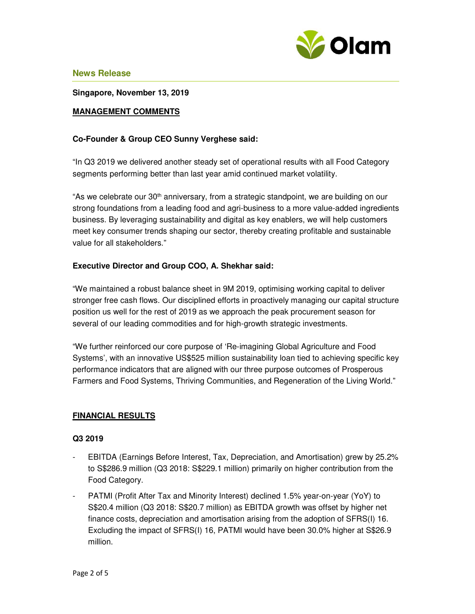

**Singapore, November 13, 2019**

## **MANAGEMENT COMMENTS**

## **Co-Founder & Group CEO Sunny Verghese said:**

"In Q3 2019 we delivered another steady set of operational results with all Food Category segments performing better than last year amid continued market volatility.

"As we celebrate our  $30<sup>th</sup>$  anniversary, from a strategic standpoint, we are building on our strong foundations from a leading food and agri-business to a more value-added ingredients business. By leveraging sustainability and digital as key enablers, we will help customers meet key consumer trends shaping our sector, thereby creating profitable and sustainable value for all stakeholders."

### **Executive Director and Group COO, A. Shekhar said:**

"We maintained a robust balance sheet in 9M 2019, optimising working capital to deliver stronger free cash flows. Our disciplined efforts in proactively managing our capital structure position us well for the rest of 2019 as we approach the peak procurement season for several of our leading commodities and for high-growth strategic investments.

"We further reinforced our core purpose of 'Re-imagining Global Agriculture and Food Systems', with an innovative US\$525 million sustainability loan tied to achieving specific key performance indicators that are aligned with our three purpose outcomes of Prosperous Farmers and Food Systems, Thriving Communities, and Regeneration of the Living World."

### **FINANCIAL RESULTS**

### **Q3 2019**

- EBITDA (Earnings Before Interest, Tax, Depreciation, and Amortisation) grew by 25.2% to S\$286.9 million (Q3 2018: S\$229.1 million) primarily on higher contribution from the Food Category.
- PATMI (Profit After Tax and Minority Interest) declined 1.5% year-on-year (YoY) to S\$20.4 million (Q3 2018: S\$20.7 million) as EBITDA growth was offset by higher net finance costs, depreciation and amortisation arising from the adoption of SFRS(I) 16. Excluding the impact of SFRS(I) 16, PATMI would have been 30.0% higher at S\$26.9 million.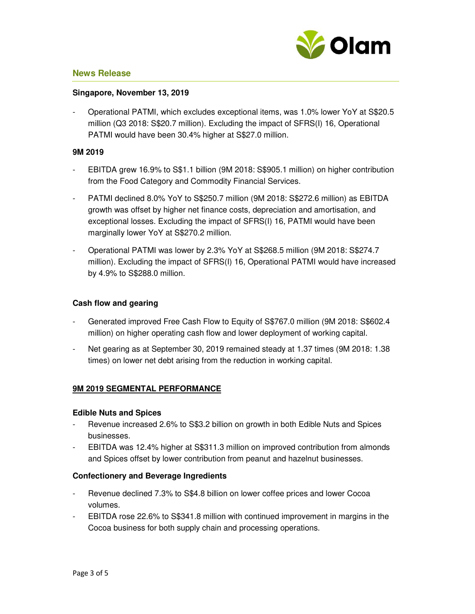

#### **Singapore, November 13, 2019**

- Operational PATMI, which excludes exceptional items, was 1.0% lower YoY at S\$20.5 million (Q3 2018: S\$20.7 million). Excluding the impact of SFRS(I) 16, Operational PATMI would have been 30.4% higher at S\$27.0 million.

#### **9M 2019**

- EBITDA grew 16.9% to S\$1.1 billion (9M 2018: S\$905.1 million) on higher contribution from the Food Category and Commodity Financial Services.
- PATMI declined 8.0% YoY to S\$250.7 million (9M 2018: S\$272.6 million) as EBITDA growth was offset by higher net finance costs, depreciation and amortisation, and exceptional losses. Excluding the impact of SFRS(I) 16, PATMI would have been marginally lower YoY at S\$270.2 million.
- Operational PATMI was lower by 2.3% YoY at S\$268.5 million (9M 2018: S\$274.7 million). Excluding the impact of SFRS(I) 16, Operational PATMI would have increased by 4.9% to S\$288.0 million.

## **Cash flow and gearing**

- Generated improved Free Cash Flow to Equity of S\$767.0 million (9M 2018: S\$602.4 million) on higher operating cash flow and lower deployment of working capital.
- Net gearing as at September 30, 2019 remained steady at 1.37 times (9M 2018: 1.38 times) on lower net debt arising from the reduction in working capital.

# **9M 2019 SEGMENTAL PERFORMANCE**

### **Edible Nuts and Spices**

- Revenue increased 2.6% to S\$3.2 billion on growth in both Edible Nuts and Spices businesses.
- EBITDA was 12.4% higher at S\$311.3 million on improved contribution from almonds and Spices offset by lower contribution from peanut and hazelnut businesses.

### **Confectionery and Beverage Ingredients**

- Revenue declined 7.3% to S\$4.8 billion on lower coffee prices and lower Cocoa volumes.
- EBITDA rose 22.6% to S\$341.8 million with continued improvement in margins in the Cocoa business for both supply chain and processing operations.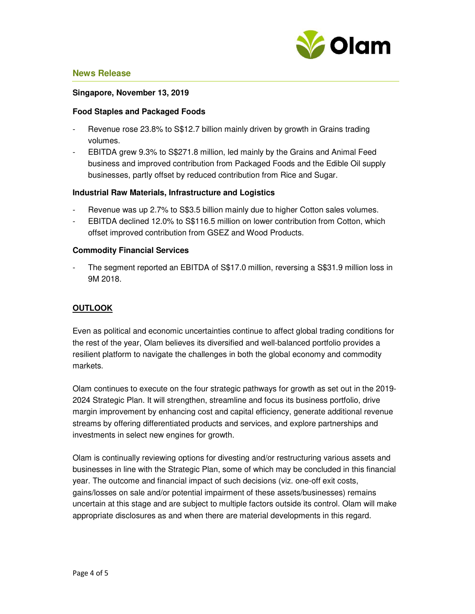

#### **Singapore, November 13, 2019**

#### **Food Staples and Packaged Foods**

- Revenue rose 23.8% to S\$12.7 billion mainly driven by growth in Grains trading volumes.
- EBITDA grew 9.3% to S\$271.8 million, led mainly by the Grains and Animal Feed business and improved contribution from Packaged Foods and the Edible Oil supply businesses, partly offset by reduced contribution from Rice and Sugar.

#### **Industrial Raw Materials, Infrastructure and Logistics**

- Revenue was up 2.7% to S\$3.5 billion mainly due to higher Cotton sales volumes.
- EBITDA declined 12.0% to S\$116.5 million on lower contribution from Cotton, which offset improved contribution from GSEZ and Wood Products.

#### **Commodity Financial Services**

The segment reported an EBITDA of S\$17.0 million, reversing a S\$31.9 million loss in 9M 2018.

## **OUTLOOK**

Even as political and economic uncertainties continue to affect global trading conditions for the rest of the year, Olam believes its diversified and well-balanced portfolio provides a resilient platform to navigate the challenges in both the global economy and commodity markets.

Olam continues to execute on the four strategic pathways for growth as set out in the 2019- 2024 Strategic Plan. It will strengthen, streamline and focus its business portfolio, drive margin improvement by enhancing cost and capital efficiency, generate additional revenue streams by offering differentiated products and services, and explore partnerships and investments in select new engines for growth.

Olam is continually reviewing options for divesting and/or restructuring various assets and businesses in line with the Strategic Plan, some of which may be concluded in this financial year. The outcome and financial impact of such decisions (viz. one-off exit costs, gains/losses on sale and/or potential impairment of these assets/businesses) remains uncertain at this stage and are subject to multiple factors outside its control. Olam will make appropriate disclosures as and when there are material developments in this regard.